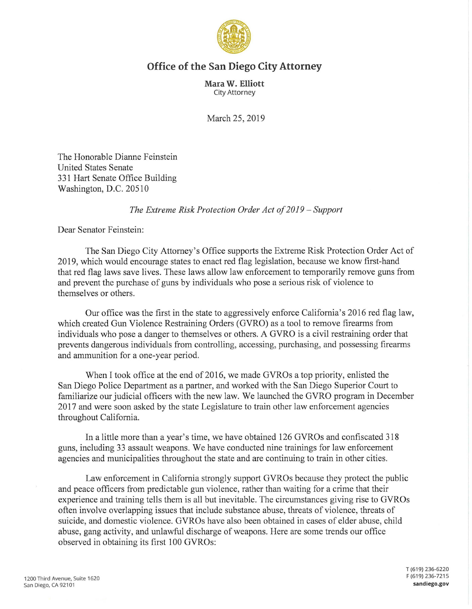

## **Office of the San Diego City Attorney**

**Mara W. Elliott**  City Attorney

March 25, 2019

The Honorable Dianne Feinstein United States Senate 331 Hart Senate Office Building Washington, D.C. 20510

*The Extreme Risk Protection Order Act of 2019* - *Support* 

Dear Senator Feinstein:

The San Diego City Attorney's Office supports the Extreme Risk Protection Order Act of 2019, which would encourage states to enact red flag legislation, because we know first-hand that red flag laws save lives. These laws allow law enforcement to temporarily remove guns from and prevent the purchase of guns by individuals who pose a serious risk of violence to themselves or others.

Our office was the first in the state to aggressively enforce California's 2016 red flag law, which created Gun Violence Restraining Orders (GVRO) as a tool to remove firearms from individuals who pose a danger to themselves or others. A GVRO is a civil restraining order that prevents dangerous individuals from controlling, accessing, purchasing, and possessing firearms and ammunition for a one-year period.

When I took office at the end of 2016, we made GVROs a top priority, enlisted the San Diego Police Department as a partner, and worked with the San Diego Superior Court to familiarize our judicial officers with the new law. We launched the GVRO program in December 2017 and were soon asked by the state Legislature to train other law enforcement agencies throughout California.

In a little more than a year's time, we have obtained 126 GVROs and confiscated 318 guns, including 33 assault weapons. We have conducted nine trainings for law enforcement agencies and municipalities throughout the state and are continuing to train in other cities.

Law enforcement in California strongly support GVROs because they protect the public and peace officers from predictable gun violence, rather than waiting for a crime that their experience and training tells them is all but inevitable. The circumstances giving rise to GVROs often involve overlapping issues that include substance abuse, threats of violence, threats of suicide, and domestic violence. GVROs have also been obtained in cases of elder abuse, child abuse, gang activity, and unlawful discharge of weapons. Here are some trends our office observed in obtaining its first 100 GVROs:

T (619) 236-6220 F(619) 236-7215 **sandiego.gov**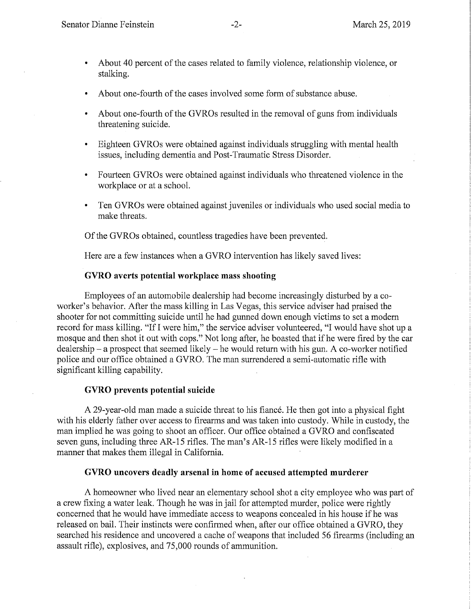- About 40 percent of the cases related to family violence, relationship violence, or stalking.
- About one-fourth of the cases involved some form of substance abuse.
- About one-fourth of the GVROs resulted in the removal of guns from individuals threatening suicide.
- Eighteen GVROs were obtained against individuals struggling with mental health issues, including dementia and Post-Traumatic Stress Disorder.
- Fourteen GVROs were obtained against individuals who threatened violence in the workplace or at a school.
- Ten GVROs were obtained against juveniles or individuals who used social media to make threats.

Of the GVROs obtained, countless tragedies have been prevented.

Here are a few instances when a GYRO intervention has likely saved lives:

## **GVRO averts potential workplace mass shooting**

Employees of an automobile dealership had become increasingly disturbed by a coworker's behavior. After the mass killing in Las Vegas, this service adviser had praised the shooter for not committing suicide until he had gunned down enough victims to set a modern record for mass killing. "If I were him," the service adviser volunteered, "I would have shot up a mosque and then shot it out with cops." Not long after, he boasted that if he were fired by the car  $dealership - a prospect that seemed likely - he would return with his gun. A co-workers notified$ police and our office obtained a GYRO. The man surrendered a semi-automatic rifle with significant killing capability.

## **GVRO prevents potential suicide**

A 29-year-old man made a suicide threat to his fiance. He then got into a physical fight with his elderly father over access to firearms and was taken into custody. While in custody, the man implied he was going to shoot an officer. Our office obtained a GYRO and confiscated seven guns, including three AR-15 rifles. The man's AR-15 rifles were likely modified in a manner that makes them illegal in California.

## **GVRO uncovers deadly arsenal in home of accused attempted murderer**

A homeowner who lived near an elementary school shot a city employee who was part of a crew fixing a water leak. Though he was in jail for attempted murder, police were rightly concerned that he would have immediate access to weapons concealed in his house if he was released on bail. Their instincts were confirmed when, after our office obtained a GYRO, they searched his residence and uncovered a cache of weapons that included 56 firearms (including an assault rifle), explosives, and 75,000 rounds of ammunition.